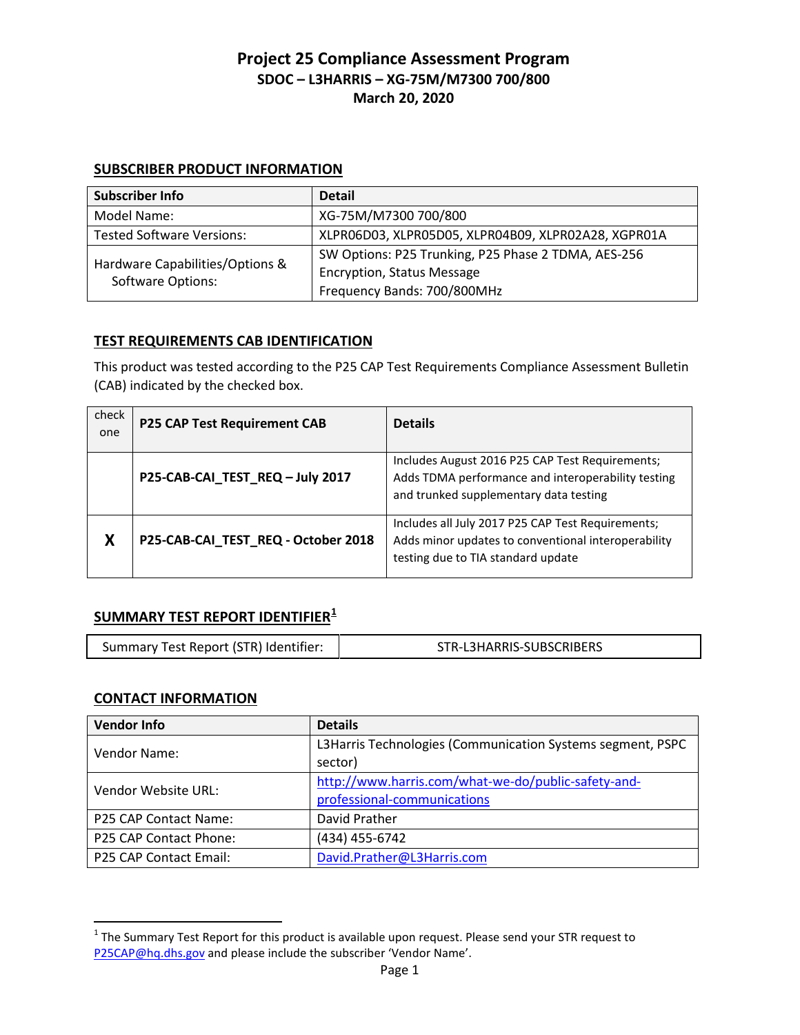#### **SUBSCRIBER PRODUCT INFORMATION**

| <b>Subscriber Info</b>                                      | <b>Detail</b>                                       |
|-------------------------------------------------------------|-----------------------------------------------------|
| Model Name:                                                 | XG-75M/M7300 700/800                                |
| <b>Tested Software Versions:</b>                            | XLPR06D03, XLPR05D05, XLPR04B09, XLPR02A28, XGPR01A |
| Hardware Capabilities/Options &<br><b>Software Options:</b> | SW Options: P25 Trunking, P25 Phase 2 TDMA, AES-256 |
|                                                             | <b>Encryption, Status Message</b>                   |
|                                                             | Frequency Bands: 700/800MHz                         |

## **TEST REQUIREMENTS CAB IDENTIFICATION**

This product was tested according to the P25 CAP Test Requirements Compliance Assessment Bulletin (CAB) indicated by the checked box.

| check<br>one | <b>P25 CAP Test Requirement CAB</b> | <b>Details</b>                                                                                                                                  |
|--------------|-------------------------------------|-------------------------------------------------------------------------------------------------------------------------------------------------|
|              | P25-CAB-CAI_TEST_REQ - July 2017    | Includes August 2016 P25 CAP Test Requirements;<br>Adds TDMA performance and interoperability testing<br>and trunked supplementary data testing |
| X            | P25-CAB-CAI_TEST_REQ - October 2018 | Includes all July 2017 P25 CAP Test Requirements;<br>Adds minor updates to conventional interoperability<br>testing due to TIA standard update  |

# **SUMMARY TEST REPORT IDENTIFIER[1](#page-0-0)**

| Summary Test Report (STR) Identifier: | STR-L3HARRIS-SUBSCRIBERS |
|---------------------------------------|--------------------------|
|                                       |                          |

## **CONTACT INFORMATION**

 $\overline{\phantom{a}}$ 

| <b>Vendor Info</b>     | <b>Details</b>                                                        |
|------------------------|-----------------------------------------------------------------------|
| Vendor Name:           | L3Harris Technologies (Communication Systems segment, PSPC<br>sector) |
| Vendor Website URL:    | http://www.harris.com/what-we-do/public-safety-and-                   |
|                        | professional-communications                                           |
| P25 CAP Contact Name:  | David Prather                                                         |
| P25 CAP Contact Phone: | (434) 455-6742                                                        |
| P25 CAP Contact Email: | David.Prather@L3Harris.com                                            |

<span id="page-0-0"></span> $1$  The Summary Test Report for this product is available upon request. Please send your STR request to [P25CAP@hq.dhs.gov](mailto:P25CAP@hq.dhs.gov) and please include the subscriber 'Vendor Name'.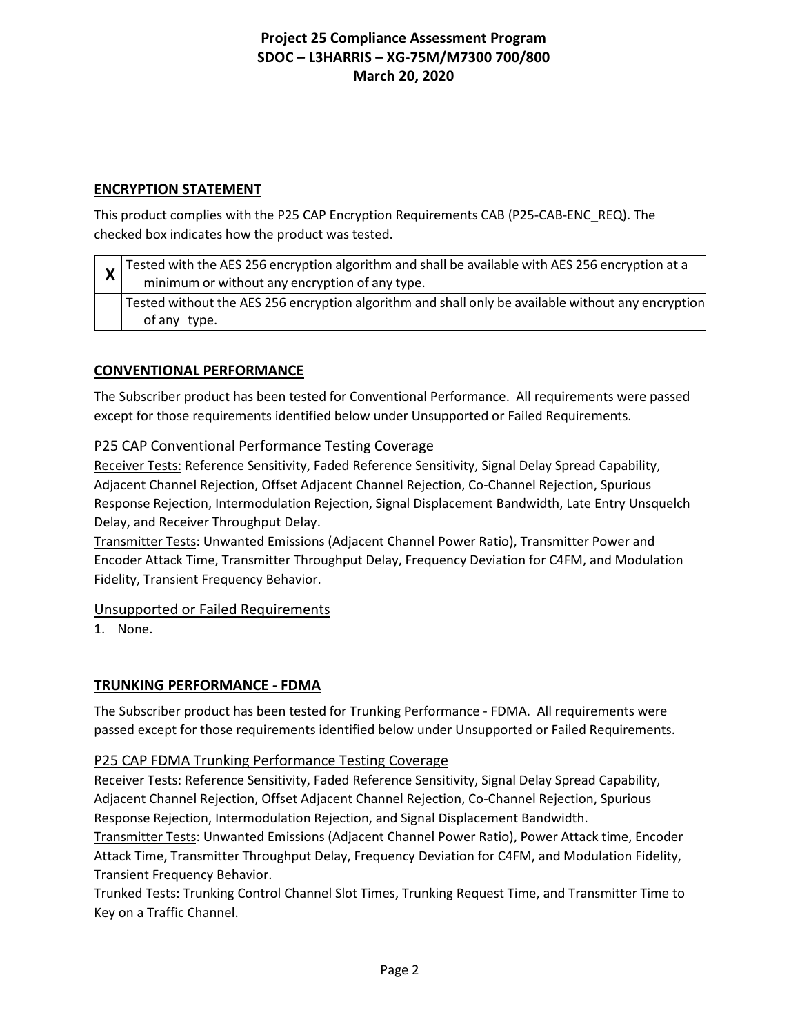## **ENCRYPTION STATEMENT**

This product complies with the P25 CAP Encryption Requirements CAB (P25-CAB-ENC\_REQ). The checked box indicates how the product was tested.

| $\chi$ Tested with the AES 256 encryption algorithm and shall be available with AES 256 encryption at a<br>minimum or without any encryption of any type. |
|-----------------------------------------------------------------------------------------------------------------------------------------------------------|
| Tested without the AES 256 encryption algorithm and shall only be available without any encryption<br>of any type.                                        |

## **CONVENTIONAL PERFORMANCE**

The Subscriber product has been tested for Conventional Performance. All requirements were passed except for those requirements identified below under Unsupported or Failed Requirements.

## P25 CAP Conventional Performance Testing Coverage

Receiver Tests: Reference Sensitivity, Faded Reference Sensitivity, Signal Delay Spread Capability, Adjacent Channel Rejection, Offset Adjacent Channel Rejection, Co-Channel Rejection, Spurious Response Rejection, Intermodulation Rejection, Signal Displacement Bandwidth, Late Entry Unsquelch Delay, and Receiver Throughput Delay.

Transmitter Tests: Unwanted Emissions (Adjacent Channel Power Ratio), Transmitter Power and Encoder Attack Time, Transmitter Throughput Delay, Frequency Deviation for C4FM, and Modulation Fidelity, Transient Frequency Behavior.

## Unsupported or Failed Requirements

1. None.

## **TRUNKING PERFORMANCE - FDMA**

The Subscriber product has been tested for Trunking Performance - FDMA. All requirements were passed except for those requirements identified below under Unsupported or Failed Requirements.

## P25 CAP FDMA Trunking Performance Testing Coverage

Receiver Tests: Reference Sensitivity, Faded Reference Sensitivity, Signal Delay Spread Capability, Adjacent Channel Rejection, Offset Adjacent Channel Rejection, Co-Channel Rejection, Spurious Response Rejection, Intermodulation Rejection, and Signal Displacement Bandwidth.

Transmitter Tests: Unwanted Emissions (Adjacent Channel Power Ratio), Power Attack time, Encoder Attack Time, Transmitter Throughput Delay, Frequency Deviation for C4FM, and Modulation Fidelity, Transient Frequency Behavior.

Trunked Tests: Trunking Control Channel Slot Times, Trunking Request Time, and Transmitter Time to Key on a Traffic Channel.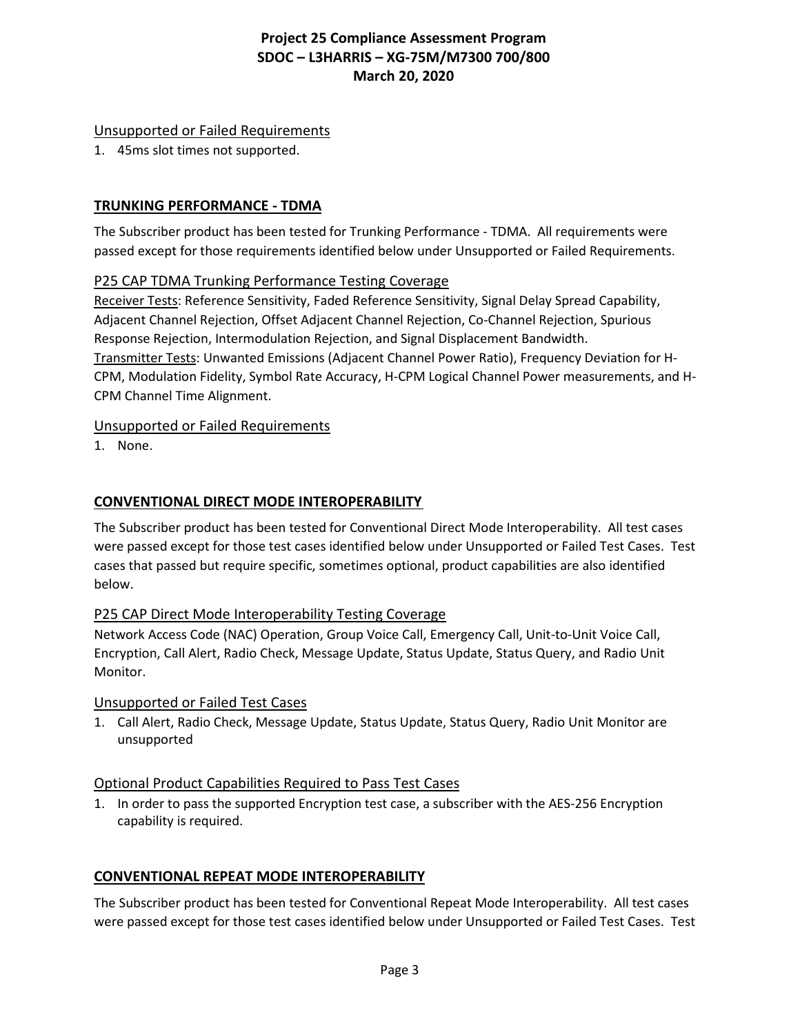## Unsupported or Failed Requirements

1. 45ms slot times not supported.

## **TRUNKING PERFORMANCE - TDMA**

The Subscriber product has been tested for Trunking Performance - TDMA. All requirements were passed except for those requirements identified below under Unsupported or Failed Requirements.

## P25 CAP TDMA Trunking Performance Testing Coverage

Receiver Tests: Reference Sensitivity, Faded Reference Sensitivity, Signal Delay Spread Capability, Adjacent Channel Rejection, Offset Adjacent Channel Rejection, Co-Channel Rejection, Spurious Response Rejection, Intermodulation Rejection, and Signal Displacement Bandwidth. Transmitter Tests: Unwanted Emissions (Adjacent Channel Power Ratio), Frequency Deviation for H-CPM, Modulation Fidelity, Symbol Rate Accuracy, H-CPM Logical Channel Power measurements, and H-CPM Channel Time Alignment.

## Unsupported or Failed Requirements

1. None.

## **CONVENTIONAL DIRECT MODE INTEROPERABILITY**

The Subscriber product has been tested for Conventional Direct Mode Interoperability. All test cases were passed except for those test cases identified below under Unsupported or Failed Test Cases. Test cases that passed but require specific, sometimes optional, product capabilities are also identified below.

## P25 CAP Direct Mode Interoperability Testing Coverage

Network Access Code (NAC) Operation, Group Voice Call, Emergency Call, Unit-to-Unit Voice Call, Encryption, Call Alert, Radio Check, Message Update, Status Update, Status Query, and Radio Unit Monitor.

## Unsupported or Failed Test Cases

1. Call Alert, Radio Check, Message Update, Status Update, Status Query, Radio Unit Monitor are unsupported

## Optional Product Capabilities Required to Pass Test Cases

1. In order to pass the supported Encryption test case, a subscriber with the AES-256 Encryption capability is required.

## **CONVENTIONAL REPEAT MODE INTEROPERABILITY**

The Subscriber product has been tested for Conventional Repeat Mode Interoperability. All test cases were passed except for those test cases identified below under Unsupported or Failed Test Cases. Test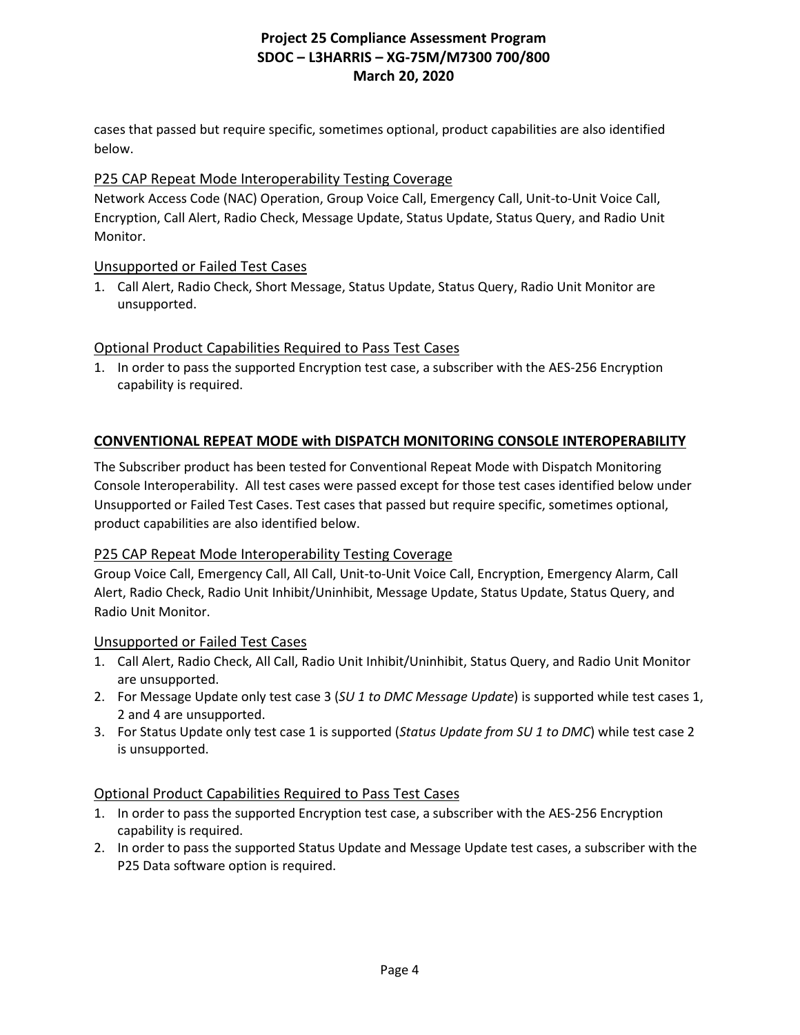cases that passed but require specific, sometimes optional, product capabilities are also identified below.

## P25 CAP Repeat Mode Interoperability Testing Coverage

Network Access Code (NAC) Operation, Group Voice Call, Emergency Call, Unit-to-Unit Voice Call, Encryption, Call Alert, Radio Check, Message Update, Status Update, Status Query, and Radio Unit Monitor.

## Unsupported or Failed Test Cases

1. Call Alert, Radio Check, Short Message, Status Update, Status Query, Radio Unit Monitor are unsupported.

## Optional Product Capabilities Required to Pass Test Cases

1. In order to pass the supported Encryption test case, a subscriber with the AES-256 Encryption capability is required.

## **CONVENTIONAL REPEAT MODE with DISPATCH MONITORING CONSOLE INTEROPERABILITY**

The Subscriber product has been tested for Conventional Repeat Mode with Dispatch Monitoring Console Interoperability. All test cases were passed except for those test cases identified below under Unsupported or Failed Test Cases. Test cases that passed but require specific, sometimes optional, product capabilities are also identified below.

## P25 CAP Repeat Mode Interoperability Testing Coverage

Group Voice Call, Emergency Call, All Call, Unit-to-Unit Voice Call, Encryption, Emergency Alarm, Call Alert, Radio Check, Radio Unit Inhibit/Uninhibit, Message Update, Status Update, Status Query, and Radio Unit Monitor.

## Unsupported or Failed Test Cases

- 1. Call Alert, Radio Check, All Call, Radio Unit Inhibit/Uninhibit, Status Query, and Radio Unit Monitor are unsupported.
- 2. For Message Update only test case 3 (*SU 1 to DMC Message Update*) is supported while test cases 1, 2 and 4 are unsupported.
- 3. For Status Update only test case 1 is supported (*Status Update from SU 1 to DMC*) while test case 2 is unsupported.

## Optional Product Capabilities Required to Pass Test Cases

- 1. In order to pass the supported Encryption test case, a subscriber with the AES-256 Encryption capability is required.
- 2. In order to pass the supported Status Update and Message Update test cases, a subscriber with the P25 Data software option is required.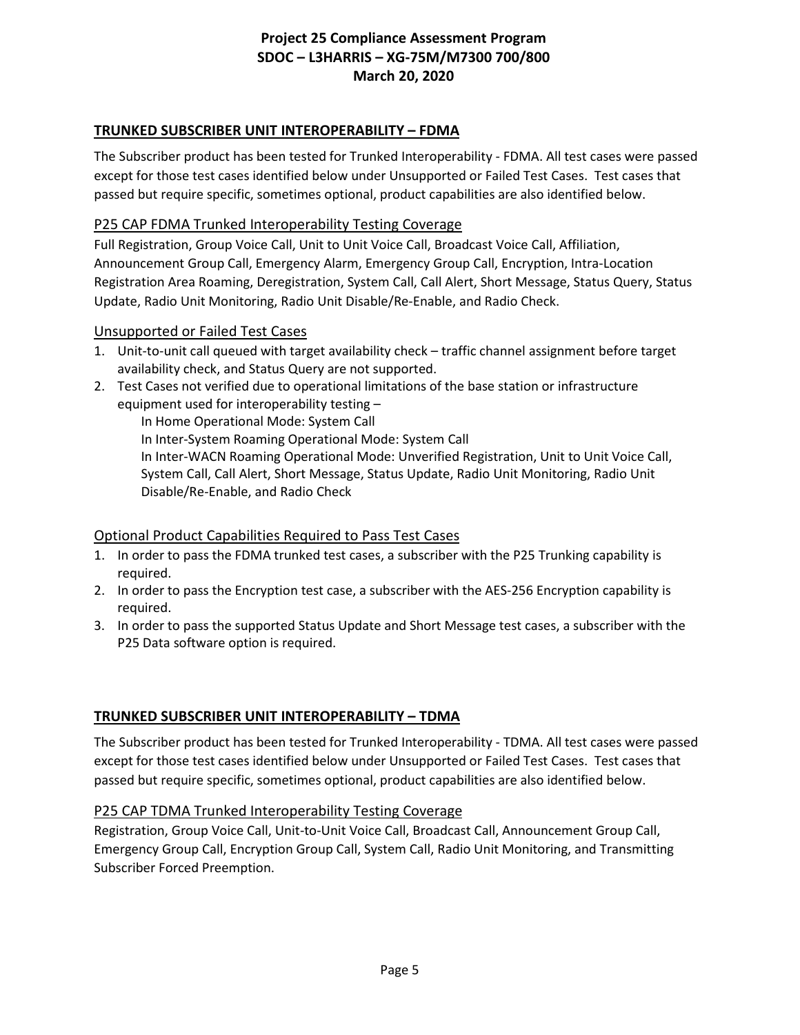## **TRUNKED SUBSCRIBER UNIT INTEROPERABILITY – FDMA**

The Subscriber product has been tested for Trunked Interoperability - FDMA. All test cases were passed except for those test cases identified below under Unsupported or Failed Test Cases. Test cases that passed but require specific, sometimes optional, product capabilities are also identified below.

#### P25 CAP FDMA Trunked Interoperability Testing Coverage

Full Registration, Group Voice Call, Unit to Unit Voice Call, Broadcast Voice Call, Affiliation, Announcement Group Call, Emergency Alarm, Emergency Group Call, Encryption, Intra-Location Registration Area Roaming, Deregistration, System Call, Call Alert, Short Message, Status Query, Status Update, Radio Unit Monitoring, Radio Unit Disable/Re-Enable, and Radio Check.

#### Unsupported or Failed Test Cases

- 1. Unit-to-unit call queued with target availability check traffic channel assignment before target availability check, and Status Query are not supported.
- 2. Test Cases not verified due to operational limitations of the base station or infrastructure equipment used for interoperability testing –

In Home Operational Mode: System Call In Inter-System Roaming Operational Mode: System Call In Inter-WACN Roaming Operational Mode: Unverified Registration, Unit to Unit Voice Call, System Call, Call Alert, Short Message, Status Update, Radio Unit Monitoring, Radio Unit Disable/Re-Enable, and Radio Check

## Optional Product Capabilities Required to Pass Test Cases

- 1. In order to pass the FDMA trunked test cases, a subscriber with the P25 Trunking capability is required.
- 2. In order to pass the Encryption test case, a subscriber with the AES-256 Encryption capability is required.
- 3. In order to pass the supported Status Update and Short Message test cases, a subscriber with the P25 Data software option is required.

## **TRUNKED SUBSCRIBER UNIT INTEROPERABILITY – TDMA**

The Subscriber product has been tested for Trunked Interoperability - TDMA. All test cases were passed except for those test cases identified below under Unsupported or Failed Test Cases. Test cases that passed but require specific, sometimes optional, product capabilities are also identified below.

## P25 CAP TDMA Trunked Interoperability Testing Coverage

Registration, Group Voice Call, Unit-to-Unit Voice Call, Broadcast Call, Announcement Group Call, Emergency Group Call, Encryption Group Call, System Call, Radio Unit Monitoring, and Transmitting Subscriber Forced Preemption.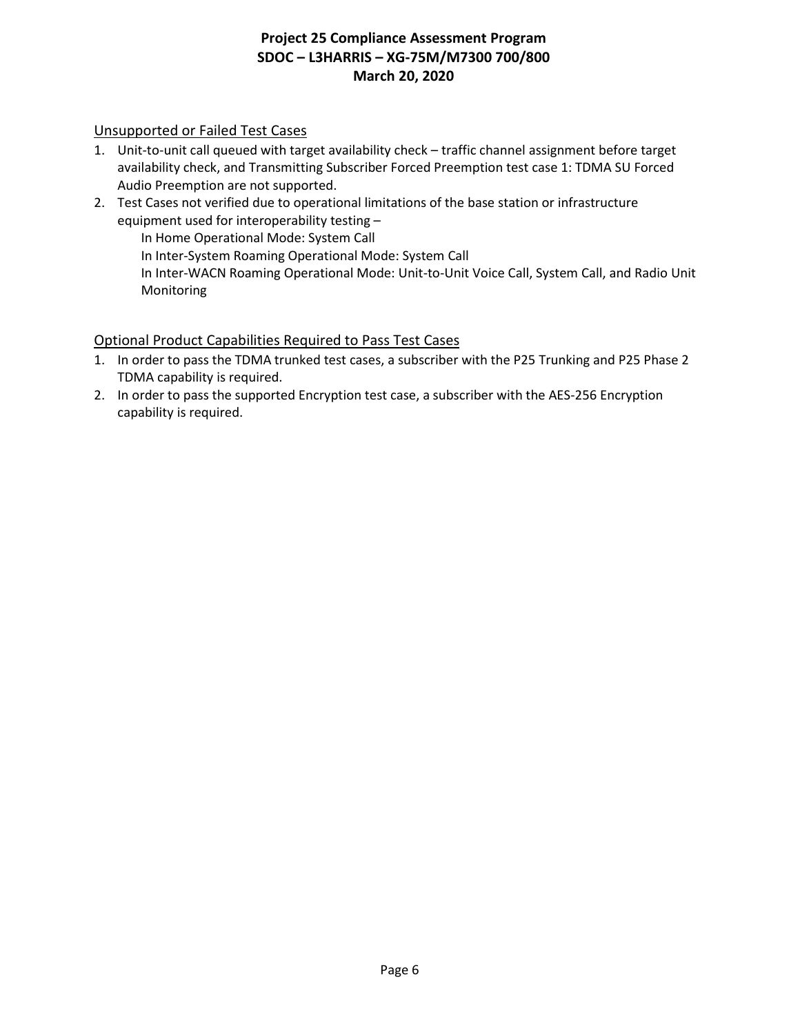## Unsupported or Failed Test Cases

- 1. Unit-to-unit call queued with target availability check traffic channel assignment before target availability check, and Transmitting Subscriber Forced Preemption test case 1: TDMA SU Forced Audio Preemption are not supported.
- 2. Test Cases not verified due to operational limitations of the base station or infrastructure equipment used for interoperability testing –

In Home Operational Mode: System Call

In Inter-System Roaming Operational Mode: System Call

In Inter-WACN Roaming Operational Mode: Unit-to-Unit Voice Call, System Call, and Radio Unit Monitoring

## Optional Product Capabilities Required to Pass Test Cases

- 1. In order to pass the TDMA trunked test cases, a subscriber with the P25 Trunking and P25 Phase 2 TDMA capability is required.
- 2. In order to pass the supported Encryption test case, a subscriber with the AES-256 Encryption capability is required.